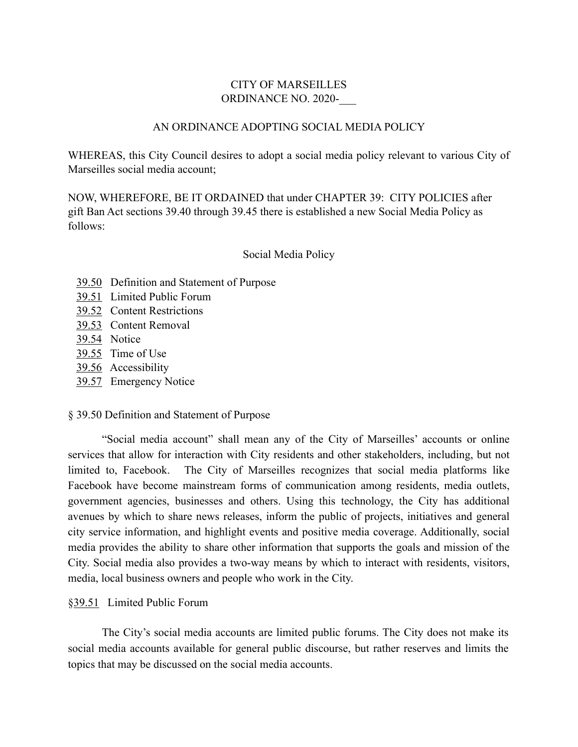# CITY OF MARSEILLES ORDINANCE NO. 2020-\_\_\_

## AN ORDINANCE ADOPTING SOCIAL MEDIA POLICY

WHEREAS, this City Council desires to adopt a social media policy relevant to various City of Marseilles social media account;

NOW, WHEREFORE, BE IT ORDAINED that under CHAPTER 39: CITY POLICIES after gift Ban Act sections 39.40 through 39.45 there is established a new Social Media Policy as follows:

# Social Media Policy

- [39.50](https://codelibrary.amlegal.com/codes/marseilles/latest/marseilles_il/0-0-0-2114#JD_39.40) Definition and Statement of Purpose
- 39.51 Limited Public Forum
- 39.52 Content Restrictions
- 39.53 Content Removal
- 39.54 Notice
- 39.55 Time of Use
- 39.56 Accessibility
- 39.57 Emergency Notice

### § 39.50 Definition and Statement of Purpose

"Social media account" shall mean any of the City of Marseilles' accounts or online services that allow for interaction with City residents and other stakeholders, including, but not limited to, Facebook. The City of Marseilles recognizes that social media platforms like Facebook have become mainstream forms of communication among residents, media outlets, government agencies, businesses and others. Using this technology, the City has additional avenues by which to share news releases, inform the public of projects, initiatives and general city service information, and highlight events and positive media coverage. Additionally, social media provides the ability to share other information that supports the goals and mission of the City. Social media also provides a two-way means by which to interact with residents, visitors, media, local business owners and people who work in the City.

### §39.51 Limited Public Forum

The City's social media accounts are limited public forums. The City does not make its social media accounts available for general public discourse, but rather reserves and limits the topics that may be discussed on the social media accounts.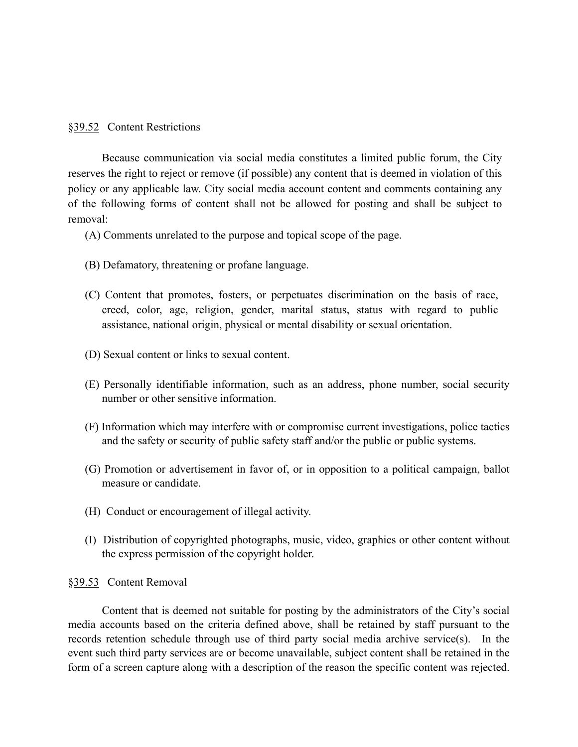## §39.52 Content Restrictions

Because communication via social media constitutes a limited public forum, the City reserves the right to reject or remove (if possible) any content that is deemed in violation of this policy or any applicable law. City social media account content and comments containing any of the following forms of content shall not be allowed for posting and shall be subject to removal:

(A) Comments unrelated to the purpose and topical scope of the page.

- (B) Defamatory, threatening or profane language.
- (C) Content that promotes, fosters, or perpetuates discrimination on the basis of race, creed, color, age, religion, gender, marital status, status with regard to public assistance, national origin, physical or mental disability or sexual orientation.
- (D) Sexual content or links to sexual content.
- (E) Personally identifiable information, such as an address, phone number, social security number or other sensitive information.
- (F) Information which may interfere with or compromise current investigations, police tactics and the safety or security of public safety staff and/or the public or public systems.
- (G) Promotion or advertisement in favor of, or in opposition to a political campaign, ballot measure or candidate.
- (H) Conduct or encouragement of illegal activity.
- (I) Distribution of copyrighted photographs, music, video, graphics or other content without the express permission of the copyright holder.

#### §39.53 Content Removal

Content that is deemed not suitable for posting by the administrators of the City's social media accounts based on the criteria defined above, shall be retained by staff pursuant to the records retention schedule through use of third party social media archive service(s). In the event such third party services are or become unavailable, subject content shall be retained in the form of a screen capture along with a description of the reason the specific content was rejected.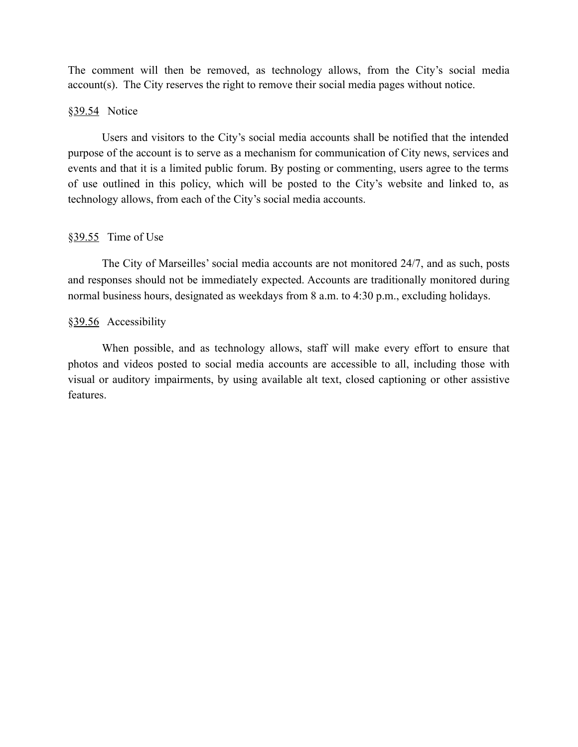The comment will then be removed, as technology allows, from the City's social media account(s). The City reserves the right to remove their social media pages without notice.

## §39.54 Notice

Users and visitors to the City's social media accounts shall be notified that the intended purpose of the account is to serve as a mechanism for communication of City news, services and events and that it is a limited public forum. By posting or commenting, users agree to the terms of use outlined in this policy, which will be posted to the City's website and linked to, as technology allows, from each of the City's social media accounts.

### $§39.55$  Time of Use

The City of Marseilles' social media accounts are not monitored 24/7, and as such, posts and responses should not be immediately expected. Accounts are traditionally monitored during normal business hours, designated as weekdays from 8 a.m. to 4:30 p.m., excluding holidays.

#### §39.56 Accessibility

When possible, and as technology allows, staff will make every effort to ensure that photos and videos posted to social media accounts are accessible to all, including those with visual or auditory impairments, by using available alt text, closed captioning or other assistive features.